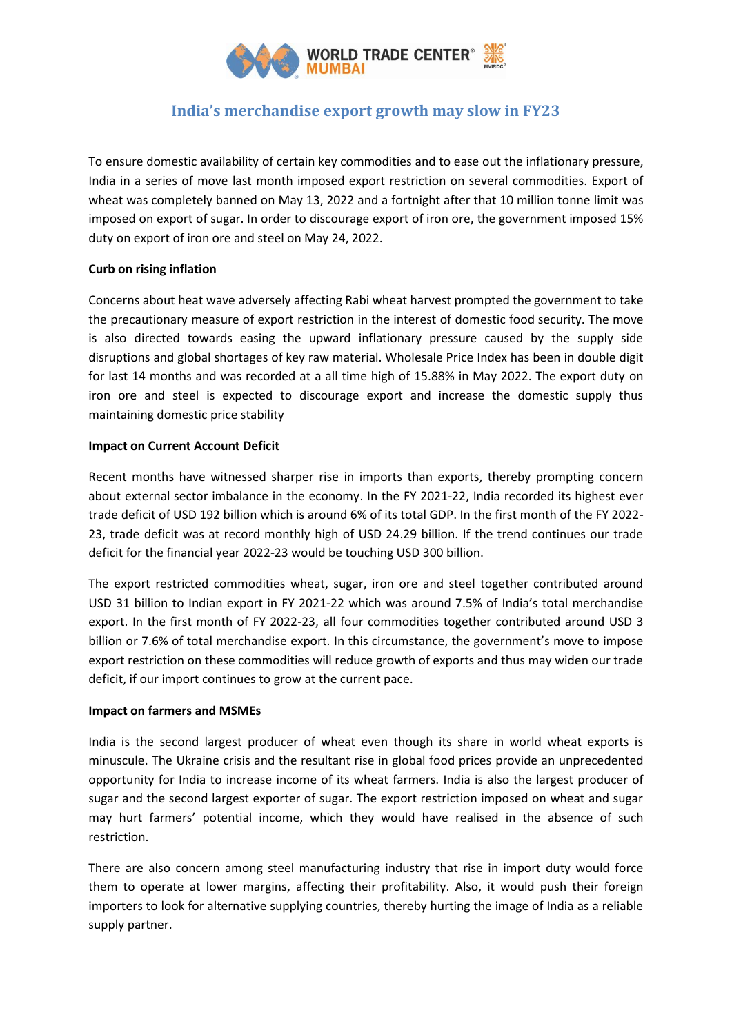

# **India's merchandise export growth may slow in FY23**

To ensure domestic availability of certain key commodities and to ease out the inflationary pressure, India in a series of move last month imposed export restriction on several commodities. Export of wheat was completely banned on May 13, 2022 and a fortnight after that 10 million tonne limit was imposed on export of sugar. In order to discourage export of iron ore, the government imposed 15% duty on export of iron ore and steel on May 24, 2022.

# **Curb on rising inflation**

Concerns about heat wave adversely affecting Rabi wheat harvest prompted the government to take the precautionary measure of export restriction in the interest of domestic food security. The move is also directed towards easing the upward inflationary pressure caused by the supply side disruptions and global shortages of key raw material. Wholesale Price Index has been in double digit for last 14 months and was recorded at a all time high of 15.88% in May 2022. The export duty on iron ore and steel is expected to discourage export and increase the domestic supply thus maintaining domestic price stability

## **Impact on Current Account Deficit**

Recent months have witnessed sharper rise in imports than exports, thereby prompting concern about external sector imbalance in the economy. In the FY 2021-22, India recorded its highest ever trade deficit of USD 192 billion which is around 6% of its total GDP. In the first month of the FY 2022- 23, trade deficit was at record monthly high of USD 24.29 billion. If the trend continues our trade deficit for the financial year 2022-23 would be touching USD 300 billion.

The export restricted commodities wheat, sugar, iron ore and steel together contributed around USD 31 billion to Indian export in FY 2021-22 which was around 7.5% of India's total merchandise export. In the first month of FY 2022-23, all four commodities together contributed around USD 3 billion or 7.6% of total merchandise export. In this circumstance, the government's move to impose export restriction on these commodities will reduce growth of exports and thus may widen our trade deficit, if our import continues to grow at the current pace.

## **Impact on farmers and MSMEs**

India is the second largest producer of wheat even though its share in world wheat exports is minuscule. The Ukraine crisis and the resultant rise in global food prices provide an unprecedented opportunity for India to increase income of its wheat farmers. India is also the largest producer of sugar and the second largest exporter of sugar. The export restriction imposed on wheat and sugar may hurt farmers' potential income, which they would have realised in the absence of such restriction.

There are also concern among steel manufacturing industry that rise in import duty would force them to operate at lower margins, affecting their profitability. Also, it would push their foreign importers to look for alternative supplying countries, thereby hurting the image of India as a reliable supply partner.